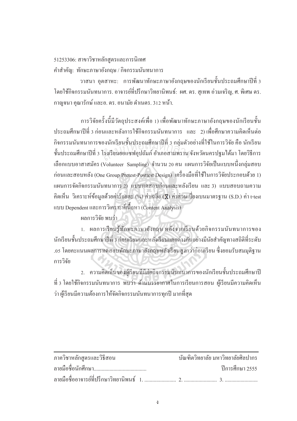$51253306$ : สาขาวิชาหลักสูตรและการนิเทศ คำสำคัญ: ทักษะภาษาอังกฤษ / กิจกรรมนันทนาการ

วาสนา อุตสาหะ: การพัฒนาทักษะภาษาอังกฤษของนักเรียนชั้นประถมศึกษาปีที่ 3 โดยใช้กิจกรรมนันทนาการ, อาจารย์ที่ปรึกษาวิทยานิพนธ์: ผศ. คร. สุเทพ อ่วมเจริญ, ศ. พิเศษ คร. กาญจนา คุณารักษ์ และอ. คร. อนามัย คำเนตร. 312 หน้า.

การวิจัยครั้งนี้มีวัตถุประสงค์เพื่อ 1) เพื่อพัฒนาทักษะภาษาอังกฤษของนักเรียนชั้น ประถมศึกษาปีที่ 3 ก่อนและหลังการใช้กิจกรรมนันทนาการ และ 2) เพื่อศึกษาความคิดเห็นต่อ l<br>
<sub>i</sub> กิจกรรมนันทนาการของนักเรียนชั้นประถมศึกษาปีที่ 3 กลุ่มตัวอย่างที่ใช้ในการวิจัย คือ นักเรียน กจกรรมนนทนาการของนกเรยนชนบระถมศุกษาบท 3 กลุมตวอยางท เช เนการวจย คอ นกเรยน<br>ชั้นประถมศึกษาปีที่ 3 โรงเรียนยอแซฟอุปถัมภ์ อำเภอสามพราน จังหวัดนครปฐมได้มา โดยวิธีการ<br>... เลือกแบบอาสาสมัคร (Volunteer Sampling) จำนวน 20 คน แผนการวิจัยเป็นแบบหนึ่งกลุ่มสอบ ¹É ก่อนและสอบหลัง (One Group Pretest-Posttest Design) เครื่องมือที่ใช้ในการวิจัยประกอบด้วย 1) uผนการจัดกิจกรรมนันทนาการ 2) แบบทดสอบก่อนและหลังเรียน และ 3) แบบสอบถามความ คิดเห็น วิเคราะห์ข้อมูลด้วยค่าร้อยละ (%) ค่าเฉลี่ย (X) ค่าส่วนเบี่ยงเบนมาตรฐาน (S.D.) ค่า t-test แบบ Dependent และการวิเคราะห์เนื้อหา (Content Analysis)

พลการวิจัย พบว่า

1. ผลการเรียนรู้ทักษะภาษาอังกฤษ หลังจากเรียนด้วยกิจกรรมนันทนาการของ ้นักเรียนชั้นประถมศึกษาปีที่ 3 ก่อนเรียนและหลังเรียนแตกต่างกันอย่างมีนัยสำคัญทางสถิติที่ระดับ .os โดยคะแนนผลการทดสอบทักษะภาษาอังกฤษหลังเรียนสงกว่าก่อนเรียน ซึ่งยอมรับสมมติฐาน การวิจัย

2. ความคิดเห็นของผู้เรียนที่มีต่อกิจกรรมนั้นทนาการของนักเรียนชั้นประถมศึกษาปี ที่ 3 โดยใช้กิจกรรมนันทนาการ พบว่า ด้านบรรยากาศในการเรียนการสอน ผู้เรียนมีความคิดเห็น ว่า ผู้เรียนมีความต้องการให้จัดกิจกรรมนันทนาการทุกปี มากที่สุด

| ภาควิชาหลักสูตรและวิธีสอน | บัณฑิตวิทยาลัย มหาวิทยาลัยศิลปากร |                   |
|---------------------------|-----------------------------------|-------------------|
|                           |                                   | ์ ปีการศึกษา 2555 |
|                           |                                   |                   |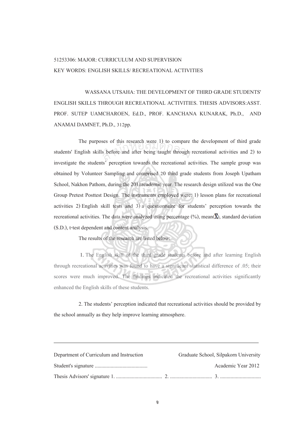## 6: MAJOR: CURRICULUM AND SUPERVISION KEY WORDS: ENGLISH SKILLS/ RECREATIONAL ACTIVITIES

 WASSANA UTSAHA: THE DEVELOPMENT OF THIRD GRADE STUDENTS' ENGLISH SKILLS THROUGH RECREATIONAL ACTIVITIES. THESIS ADVISORS:ASST. PROF. SUTEP UAMCHAROEN, Ed.D., PROF. KANCHANA KUNARAK, Ph.D., AND ANAMAI DAMNET, Ph.D., 312pp.

The purposes of this research were  $(1)$  to compare the development of third grade students' English skills before and after being taught through recreational activities and 2) to investigate the students' perception towards the recreational activities. The sample group was obtained by Volunteer Sampling and comprised 20 third grade students from Joseph Upatham School, Nakhon Pathom, during the 2011 academic year. The research design utilized was the One Group Pretest Posttest Design. The instruments employed were: ) lesson plans for recreational activities ) English skill tests and ) a questionnaire for students' perception towards the recreational activities. The data were analyzed using percentage  $(\%)$ , mean( $\overline{\mathbf{X}}$ ), standard deviation (S.D.), t-test dependent and content analysis. s before and after being taught through

The results of the research are listed below:

. The English skill of the third grade students before and after learning English through recreational activities was found to have a significant statistical difference of .05; their scores were much improved. The findings indicated the recreational activities significantly enhanced the English skills of these students.

. The students' perception indicated that recreational activities should be provided by the school annually as they help improve learning atmosphere.

| Department of Curriculum and Instruction | Graduate School, Silpakorn University |
|------------------------------------------|---------------------------------------|
|                                          | Academic Year 2012                    |
|                                          |                                       |